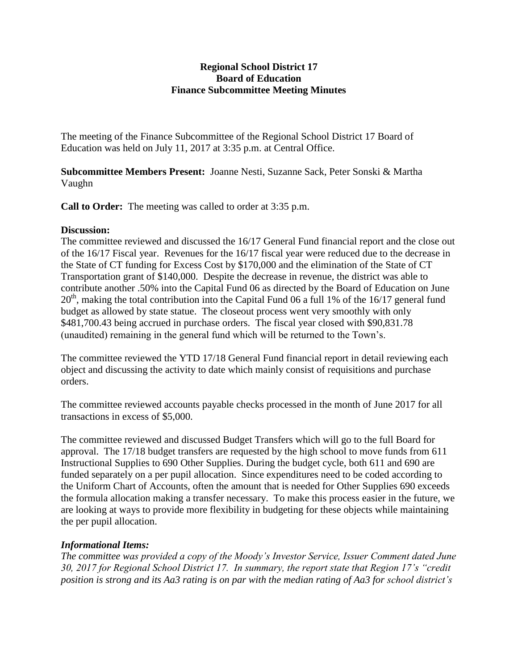## **Regional School District 17 Board of Education Finance Subcommittee Meeting Minutes**

The meeting of the Finance Subcommittee of the Regional School District 17 Board of Education was held on July 11, 2017 at 3:35 p.m. at Central Office.

**Subcommittee Members Present:** Joanne Nesti, Suzanne Sack, Peter Sonski & Martha Vaughn

**Call to Order:** The meeting was called to order at 3:35 p.m.

## **Discussion:**

The committee reviewed and discussed the 16/17 General Fund financial report and the close out of the 16/17 Fiscal year. Revenues for the 16/17 fiscal year were reduced due to the decrease in the State of CT funding for Excess Cost by \$170,000 and the elimination of the State of CT Transportation grant of \$140,000. Despite the decrease in revenue, the district was able to contribute another .50% into the Capital Fund 06 as directed by the Board of Education on June  $20<sup>th</sup>$ , making the total contribution into the Capital Fund 06 a full 1% of the 16/17 general fund budget as allowed by state statue. The closeout process went very smoothly with only \$481,700.43 being accrued in purchase orders. The fiscal year closed with \$90,831.78 (unaudited) remaining in the general fund which will be returned to the Town's.

The committee reviewed the YTD 17/18 General Fund financial report in detail reviewing each object and discussing the activity to date which mainly consist of requisitions and purchase orders.

The committee reviewed accounts payable checks processed in the month of June 2017 for all transactions in excess of \$5,000.

The committee reviewed and discussed Budget Transfers which will go to the full Board for approval. The 17/18 budget transfers are requested by the high school to move funds from 611 Instructional Supplies to 690 Other Supplies. During the budget cycle, both 611 and 690 are funded separately on a per pupil allocation. Since expenditures need to be coded according to the Uniform Chart of Accounts, often the amount that is needed for Other Supplies 690 exceeds the formula allocation making a transfer necessary. To make this process easier in the future, we are looking at ways to provide more flexibility in budgeting for these objects while maintaining the per pupil allocation.

## *Informational Items:*

*The committee was provided a copy of the Moody's Investor Service, Issuer Comment dated June 30, 2017 for Regional School District 17. In summary, the report state that Region 17's "credit position is strong and its Aa3 rating is on par with the median rating of Aa3 for school district's*